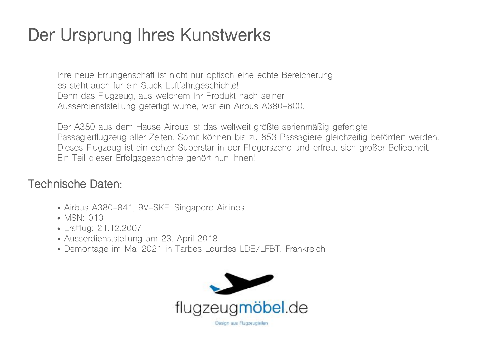## **Der Ursprung Ihres Kunstwerks**

Ihre neue Errungenschaft ist nicht nur optisch eine echte Bereicherung, es steht auch für ein Stück Luftfahrtgeschichte! Denn das Flugzeug, aus welchem Ihr Produkt nach seiner Ausserdienststellung gefertigt wurde, war ein Airbus A380-800.

Der A380 aus dem Hause Airbus ist das weltweit größte serienmäßig gefertigte Passagierflugzeug aller Zeiten. Somit können bis zu 853 Passagiere gleichzeitig befördert werden. Dieses Flugzeug ist ein echter Superstar in der Fliegerszene und erfreut sich großer Beliebtheit. Ein Teil dieser Erfolgsgeschichte gehört nun Ihnen!

### **Technische Daten:**

- Airbus A380-841, 9V-SKE, Singapore Airlines
- MSN: 010
- Erstflug: 21.12.2007
- Ausserdienststellung am 23. April 2018
- Demontage im Mai 2021 in Tarbes Lourdes LDE/LFBT, Frankreich

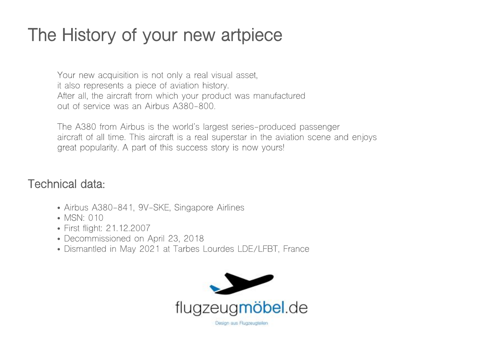# **The History of your new artpiece**

Your new acquisition is not only a real visual asset, it also represents a piece of aviation history. After all, the aircraft from which your product was manufactured out of service was an Airbus A380-800.

The A380 from Airbus is the world's largest series-produced passenger aircraft of all time. This aircraft is a real superstar in the aviation scene and enjoys great popularity. A part of this success story is now yours!

### **Technical data:**

- Airbus A380-841, 9V-SKE, Singapore Airlines
- MSN: 010
- First flight: 21.12.2007
- Decommissioned on April 23, 2018
- Dismantled in May 2021 at Tarbes Lourdes LDE/LFBT, France

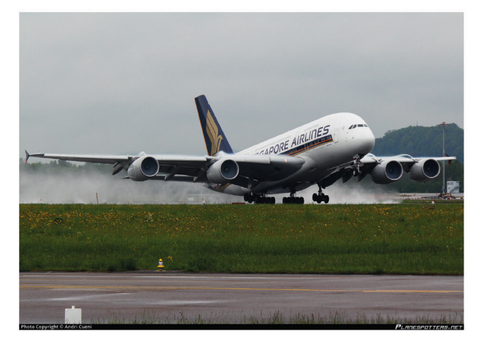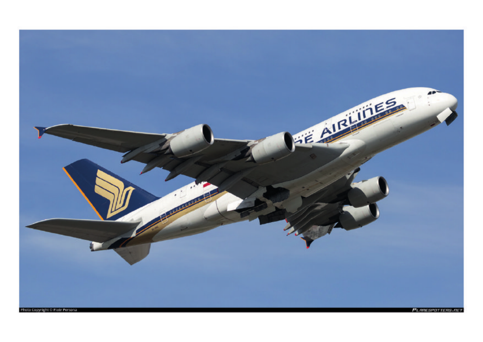

Photo Copyright © Piotr Persona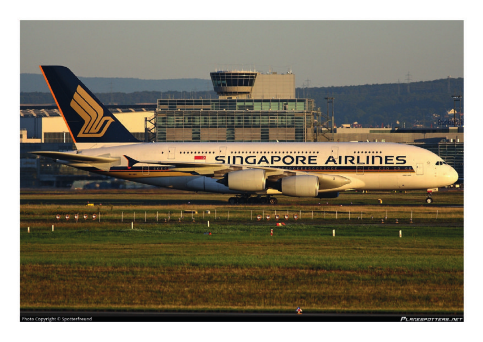